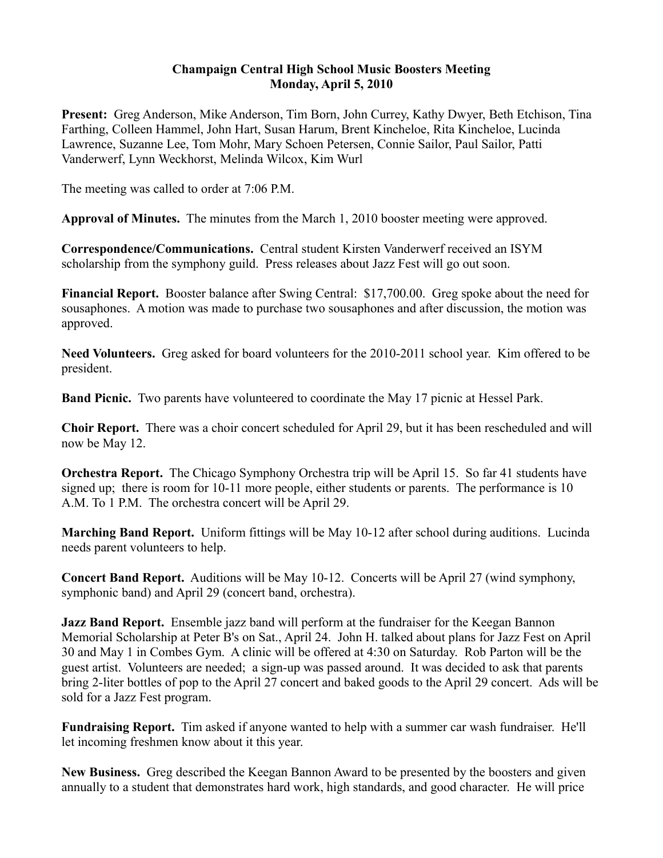## **Champaign Central High School Music Boosters Meeting Monday, April 5, 2010**

**Present:** Greg Anderson, Mike Anderson, Tim Born, John Currey, Kathy Dwyer, Beth Etchison, Tina Farthing, Colleen Hammel, John Hart, Susan Harum, Brent Kincheloe, Rita Kincheloe, Lucinda Lawrence, Suzanne Lee, Tom Mohr, Mary Schoen Petersen, Connie Sailor, Paul Sailor, Patti Vanderwerf, Lynn Weckhorst, Melinda Wilcox, Kim Wurl

The meeting was called to order at 7:06 P.M.

**Approval of Minutes.** The minutes from the March 1, 2010 booster meeting were approved.

**Correspondence/Communications.** Central student Kirsten Vanderwerf received an ISYM scholarship from the symphony guild. Press releases about Jazz Fest will go out soon.

**Financial Report.** Booster balance after Swing Central: \$17,700.00. Greg spoke about the need for sousaphones. A motion was made to purchase two sousaphones and after discussion, the motion was approved.

**Need Volunteers.** Greg asked for board volunteers for the 2010-2011 school year. Kim offered to be president.

**Band Picnic.** Two parents have volunteered to coordinate the May 17 picnic at Hessel Park.

**Choir Report.** There was a choir concert scheduled for April 29, but it has been rescheduled and will now be May 12.

**Orchestra Report.** The Chicago Symphony Orchestra trip will be April 15. So far 41 students have signed up; there is room for 10-11 more people, either students or parents. The performance is 10 A.M. To 1 P.M. The orchestra concert will be April 29.

**Marching Band Report.** Uniform fittings will be May 10-12 after school during auditions. Lucinda needs parent volunteers to help.

**Concert Band Report.** Auditions will be May 10-12. Concerts will be April 27 (wind symphony, symphonic band) and April 29 (concert band, orchestra).

**Jazz Band Report.** Ensemble jazz band will perform at the fundraiser for the Keegan Bannon Memorial Scholarship at Peter B's on Sat., April 24. John H. talked about plans for Jazz Fest on April 30 and May 1 in Combes Gym. A clinic will be offered at 4:30 on Saturday. Rob Parton will be the guest artist. Volunteers are needed; a sign-up was passed around. It was decided to ask that parents bring 2-liter bottles of pop to the April 27 concert and baked goods to the April 29 concert. Ads will be sold for a Jazz Fest program.

**Fundraising Report.** Tim asked if anyone wanted to help with a summer car wash fundraiser. He'll let incoming freshmen know about it this year.

**New Business.** Greg described the Keegan Bannon Award to be presented by the boosters and given annually to a student that demonstrates hard work, high standards, and good character. He will price